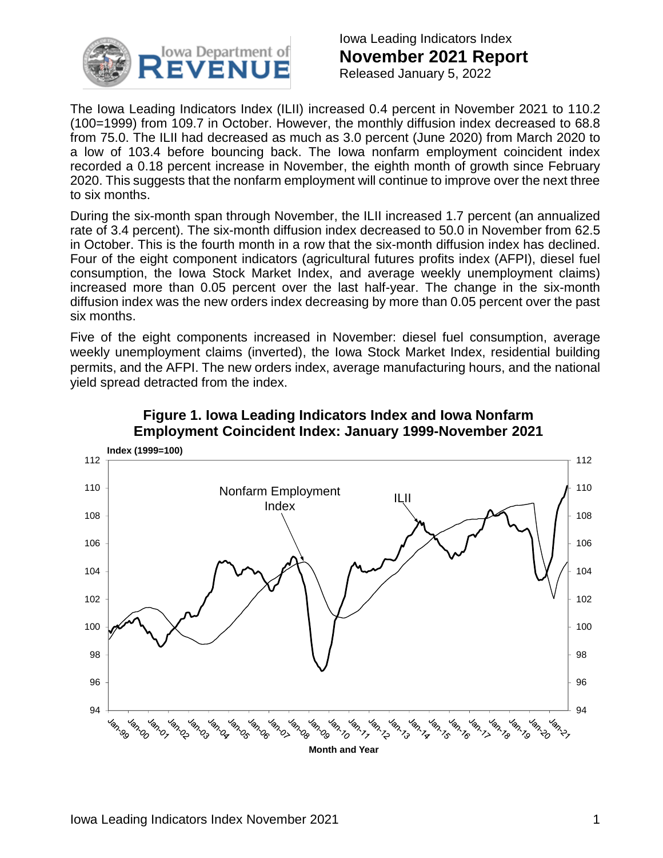

Iowa Leading Indicators Index **November 2021 Report** Released January 5, 2022

The Iowa Leading Indicators Index (ILII) increased 0.4 percent in November 2021 to 110.2 (100=1999) from 109.7 in October. However, the monthly diffusion index decreased to 68.8 from 75.0. The ILII had decreased as much as 3.0 percent (June 2020) from March 2020 to a low of 103.4 before bouncing back. The Iowa nonfarm employment coincident index recorded a 0.18 percent increase in November, the eighth month of growth since February 2020. This suggests that the nonfarm employment will continue to improve over the next three to six months.

During the six-month span through November, the ILII increased 1.7 percent (an annualized rate of 3.4 percent). The six-month diffusion index decreased to 50.0 in November from 62.5 in October. This is the fourth month in a row that the six-month diffusion index has declined. Four of the eight component indicators (agricultural futures profits index (AFPI), diesel fuel consumption, the Iowa Stock Market Index, and average weekly unemployment claims) increased more than 0.05 percent over the last half-year. The change in the six-month diffusion index was the new orders index decreasing by more than 0.05 percent over the past six months.

Five of the eight components increased in November: diesel fuel consumption, average weekly unemployment claims (inverted), the Iowa Stock Market Index, residential building permits, and the AFPI. The new orders index, average manufacturing hours, and the national yield spread detracted from the index.



### **Figure 1. Iowa Leading Indicators Index and Iowa Nonfarm Employment Coincident Index: January 1999-November 2021**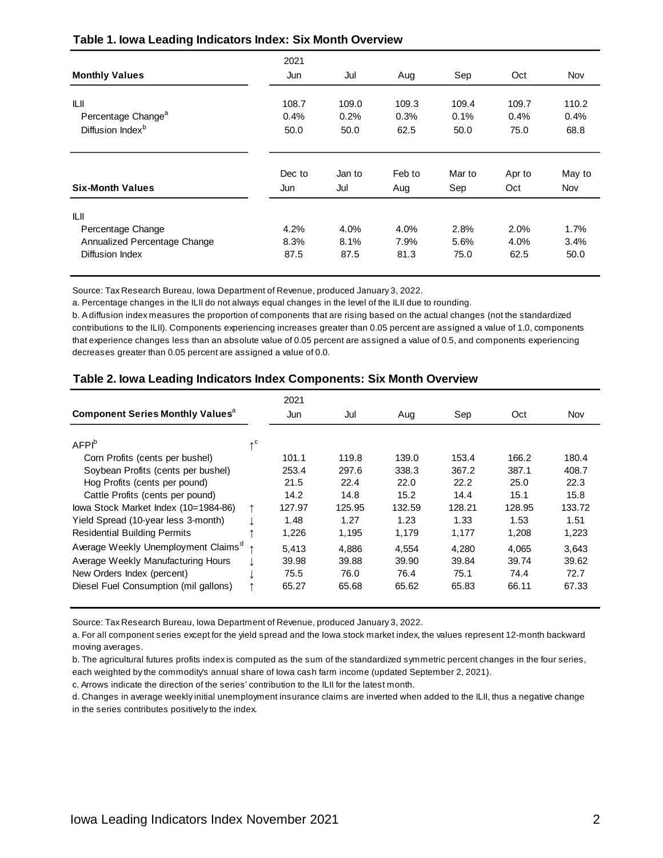|                                        | 2021          |               |               |               |               |               |
|----------------------------------------|---------------|---------------|---------------|---------------|---------------|---------------|
| <b>Monthly Values</b>                  | Jun           | Jul           | Aug           | Sep           | Oct           | Nov           |
| ILII<br>Percentage Change <sup>a</sup> | 108.7<br>0.4% | 109.0<br>0.2% | 109.3<br>0.3% | 109.4<br>0.1% | 109.7<br>0.4% | 110.2<br>0.4% |
| Diffusion Index <sup>b</sup>           | 50.0          | 50.0          | 62.5          | 50.0          | 75.0          | 68.8          |
|                                        | Dec to        | Jan to        | Feb to        | Mar to        | Apr to        | May to        |
| <b>Six-Month Values</b>                | Jun           | Jul           | Aug           | Sep           | Oct           | Nov           |
| ILII                                   |               |               |               |               |               |               |
| Percentage Change                      | 4.2%          | 4.0%          | 4.0%          | 2.8%          | 2.0%          | 1.7%          |
| Annualized Percentage Change           | 8.3%          | 8.1%          | 7.9%          | 5.6%          | 4.0%          | 3.4%          |
| Diffusion Index                        | 87.5          | 87.5          | 81.3          | 75.0          | 62.5          | 50.0          |

#### **Table 1. Iowa Leading Indicators Index: Six Month Overview**

Source: Tax Research Bureau, Iowa Department of Revenue, produced January 3, 2022.

a. Percentage changes in the ILII do not always equal changes in the level of the ILII due to rounding.

b. A diffusion index measures the proportion of components that are rising based on the actual changes (not the standardized contributions to the ILII). Components experiencing increases greater than 0.05 percent are assigned a value of 1.0, components that experience changes less than an absolute value of 0.05 percent are assigned a value of 0.5, and components experiencing decreases greater than 0.05 percent are assigned a value of 0.0.

#### **Table 2. Iowa Leading Indicators Index Components: Six Month Overview**

|                                                     |                         | 2021   |        |        |        |        |        |
|-----------------------------------------------------|-------------------------|--------|--------|--------|--------|--------|--------|
| <b>Component Series Monthly Values</b> <sup>a</sup> |                         | Jun    | Jul    | Aug    | Sep    | Oct    | Nov    |
|                                                     |                         |        |        |        |        |        |        |
| AFPI <sup>b</sup>                                   | $\uparrow$ <sup>C</sup> |        |        |        |        |        |        |
| Corn Profits (cents per bushel)                     |                         | 101.1  | 119.8  | 139.0  | 153.4  | 166.2  | 180.4  |
| Soybean Profits (cents per bushel)                  |                         | 253.4  | 297.6  | 338.3  | 367.2  | 387.1  | 408.7  |
| Hog Profits (cents per pound)                       |                         | 21.5   | 22.4   | 22.0   | 22.2   | 25.0   | 22.3   |
| Cattle Profits (cents per pound)                    |                         | 14.2   | 14.8   | 15.2   | 14.4   | 15.1   | 15.8   |
| lowa Stock Market Index (10=1984-86)                | ↑                       | 127.97 | 125.95 | 132.59 | 128.21 | 128.95 | 133.72 |
| Yield Spread (10-year less 3-month)                 |                         | 1.48   | 1.27   | 1.23   | 1.33   | 1.53   | 1.51   |
| <b>Residential Building Permits</b>                 |                         | 1,226  | 1.195  | 1.179  | 1.177  | 1.208  | 1,223  |
| Average Weekly Unemployment Claims <sup>a</sup>     | $\uparrow$              | 5.413  | 4.886  | 4,554  | 4.280  | 4.065  | 3,643  |
| Average Weekly Manufacturing Hours                  |                         | 39.98  | 39.88  | 39.90  | 39.84  | 39.74  | 39.62  |
| New Orders Index (percent)                          |                         | 75.5   | 76.0   | 76.4   | 75.1   | 74.4   | 72.7   |
| Diesel Fuel Consumption (mil gallons)               |                         | 65.27  | 65.68  | 65.62  | 65.83  | 66.11  | 67.33  |

Source: Tax Research Bureau, Iowa Department of Revenue, produced January 3, 2022.

a. For all component series except for the yield spread and the Iowa stock market index, the values represent 12-month backward moving averages.

b. The agricultural futures profits index is computed as the sum of the standardized symmetric percent changes in the four series, each weighted by the commodity's annual share of Iowa cash farm income (updated September 2, 2021).

c. Arrows indicate the direction of the series' contribution to the ILII for the latest month.

d. Changes in average weekly initial unemployment insurance claims are inverted when added to the ILII, thus a negative change in the series contributes positively to the index.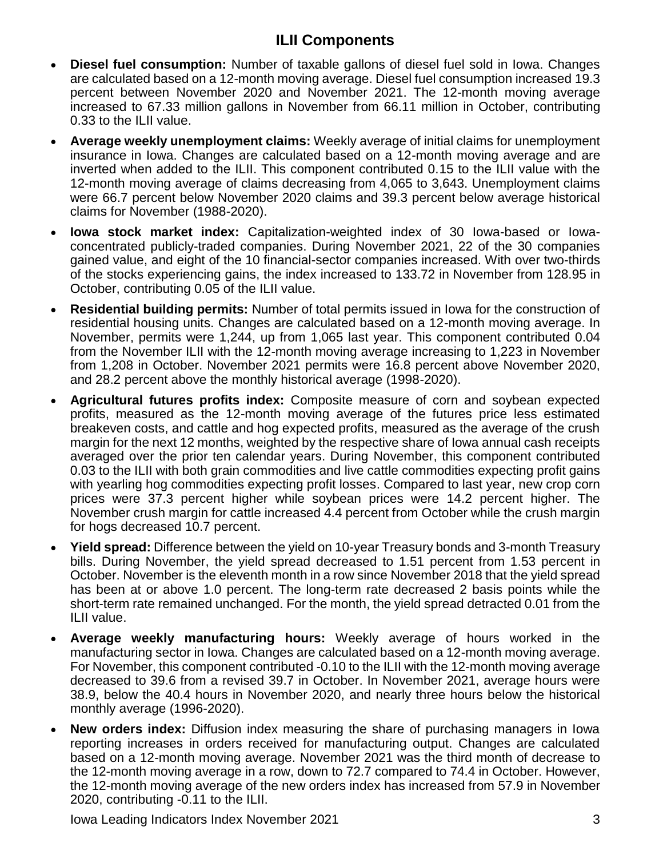# **ILII Components**

- **Diesel fuel consumption:** Number of taxable gallons of diesel fuel sold in Iowa. Changes are calculated based on a 12-month moving average. Diesel fuel consumption increased 19.3 percent between November 2020 and November 2021. The 12-month moving average increased to 67.33 million gallons in November from 66.11 million in October, contributing 0.33 to the ILII value.
- **Average weekly unemployment claims:** Weekly average of initial claims for unemployment insurance in Iowa. Changes are calculated based on a 12-month moving average and are inverted when added to the ILII. This component contributed 0.15 to the ILII value with the 12-month moving average of claims decreasing from 4,065 to 3,643. Unemployment claims were 66.7 percent below November 2020 claims and 39.3 percent below average historical claims for November (1988-2020).
- **Iowa stock market index:** Capitalization-weighted index of 30 Iowa-based or Iowaconcentrated publicly-traded companies. During November 2021, 22 of the 30 companies gained value, and eight of the 10 financial-sector companies increased. With over two-thirds of the stocks experiencing gains, the index increased to 133.72 in November from 128.95 in October, contributing 0.05 of the ILII value.
- **Residential building permits:** Number of total permits issued in Iowa for the construction of residential housing units. Changes are calculated based on a 12-month moving average. In November, permits were 1,244, up from 1,065 last year. This component contributed 0.04 from the November ILII with the 12-month moving average increasing to 1,223 in November from 1,208 in October. November 2021 permits were 16.8 percent above November 2020, and 28.2 percent above the monthly historical average (1998-2020).
- **Agricultural futures profits index:** Composite measure of corn and soybean expected profits, measured as the 12-month moving average of the futures price less estimated breakeven costs, and cattle and hog expected profits, measured as the average of the crush margin for the next 12 months, weighted by the respective share of Iowa annual cash receipts averaged over the prior ten calendar years. During November, this component contributed 0.03 to the ILII with both grain commodities and live cattle commodities expecting profit gains with yearling hog commodities expecting profit losses. Compared to last year, new crop corn prices were 37.3 percent higher while soybean prices were 14.2 percent higher. The November crush margin for cattle increased 4.4 percent from October while the crush margin for hogs decreased 10.7 percent.
- **Yield spread:** Difference between the yield on 10-year Treasury bonds and 3-month Treasury bills. During November, the yield spread decreased to 1.51 percent from 1.53 percent in October. November is the eleventh month in a row since November 2018 that the yield spread has been at or above 1.0 percent. The long-term rate decreased 2 basis points while the short-term rate remained unchanged. For the month, the yield spread detracted 0.01 from the ILII value.
- **Average weekly manufacturing hours:** Weekly average of hours worked in the manufacturing sector in Iowa. Changes are calculated based on a 12-month moving average. For November, this component contributed -0.10 to the ILII with the 12-month moving average decreased to 39.6 from a revised 39.7 in October. In November 2021, average hours were 38.9, below the 40.4 hours in November 2020, and nearly three hours below the historical monthly average (1996-2020).
- **New orders index:** Diffusion index measuring the share of purchasing managers in Iowa reporting increases in orders received for manufacturing output. Changes are calculated based on a 12-month moving average. November 2021 was the third month of decrease to the 12-month moving average in a row, down to 72.7 compared to 74.4 in October. However, the 12-month moving average of the new orders index has increased from 57.9 in November 2020, contributing -0.11 to the ILII.